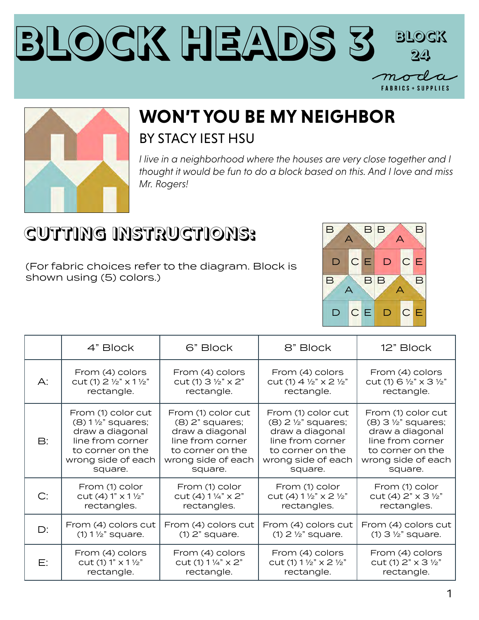



## **WON'T YOU BE MY NEIGHBOR** BY STACY IEST HSU

*I live in a neighborhood where the houses are very close together and I thought it would be fun to do a block based on this. And I love and miss Mr. Rogers!*

## **CUTTING INSTRUCTIONS:**

(For fabric choices refer to the diagram. Block is shown using (5) colors.)



|               | 4" Block                          | 6" Block                               | 8" Block                                          | 12" Block                                         |
|---------------|-----------------------------------|----------------------------------------|---------------------------------------------------|---------------------------------------------------|
| $A$ :         | From (4) colors                   | From (4) colors                        | From (4) colors                                   | From (4) colors                                   |
|               | cut (1) 2 1/2" x 1 1/2"           | $cut(1)$ 3 $\frac{1}{2}$ " $\times$ 2" | cut (1) $4\frac{1}{2}$ $\times$ 2 $\frac{1}{2}$ " | cut (1) $6\frac{1}{2}$ $\times$ 3 $\frac{1}{2}$ " |
|               | rectangle.                        | rectangle.                             | rectangle.                                        | rectangle.                                        |
| $\mathsf{B}:$ | From (1) color cut                | From (1) color cut                     | From (1) color cut                                | From (1) color cut                                |
|               | $(8)$ 1 $\frac{1}{2}$ " squares;  | $(8)$ 2" squares;                      | $(8)$ 2 $\frac{1}{2}$ " squares;                  | $(8)$ 3 $\frac{1}{2}$ " squares;                  |
|               | draw a diagonal                   | draw a diagonal                        | draw a diagonal                                   | draw a diagonal                                   |
|               | line from corner                  | line from corner                       | line from corner                                  | line from corner                                  |
|               | to corner on the                  | to corner on the                       | to corner on the                                  | to corner on the                                  |
|               | wrong side of each                | wrong side of each                     | wrong side of each                                | wrong side of each                                |
|               | square.                           | square.                                | square.                                           | square.                                           |
| C:            | From (1) color                    | From (1) color                         | From (1) color                                    | From (1) color                                    |
|               | $cut(4) 1" x 11/2"$               | $cut(4) 1\frac{1}{4} x 2$              | cut (4) $1\frac{1}{2}$ $\times$ 2 $\frac{1}{2}$ " | cut (4) $2" \times 3 \frac{1}{2}"$                |
|               | rectangles.                       | rectangles.                            | rectangles.                                       | rectangles.                                       |
| D:            | From (4) colors cut               | From (4) colors cut                    | From (4) colors cut                               | From (4) colors cut                               |
|               | $(1)$ 1 $\frac{1}{2}$ " square.   | $(1)$ 2" square.                       | $(1)$ 2 $\frac{1}{2}$ " square.                   | $(1)$ 3 $\frac{1}{2}$ " square.                   |
| E:            | From (4) colors                   | From (4) colors                        | From (4) colors                                   | From (4) colors                                   |
|               | cut (1) $1" \times 1\frac{1}{2}"$ | cut (1) $1\frac{1}{4}$ $\times$ 2"     | cut (1) 1 1/2" x 2 1/2"                           | cut (1) $2" \times 3 \frac{1}{2}"$                |
|               | rectangle.                        | rectangle.                             | rectangle.                                        | rectangle.                                        |